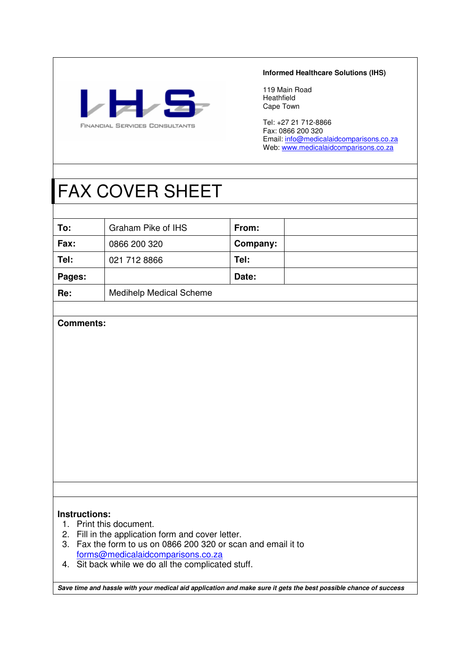

#### **Informed Healthcare Solutions (IHS)**

119 Main Road Heathfield Cape Town

Tel: +27 21 712-8866 Fax: 0866 200 320 Email: info@medicalaidcomparisons.co.za Web: www.medicalaidcomparisons.co.za

# FAX COVER SHEET

| To:    | Graham Pike of IHS             | From:    |  |
|--------|--------------------------------|----------|--|
| Fax:   | 0866 200 320                   | Company: |  |
| Tel:   | 021 712 8866                   | Tel:     |  |
| Pages: |                                | Date:    |  |
| Re:    | <b>Medihelp Medical Scheme</b> |          |  |

## **Comments:**

### **Instructions:**

- 1. Print this document.
- 2. Fill in the application form and cover letter.
- 3. Fax the form to us on 0866 200 320 or scan and email it to forms@medicalaidcomparisons.co.za
- 4. Sit back while we do all the complicated stuff.

**Save time and hassle with your medical aid application and make sure it gets the best possible chance of success**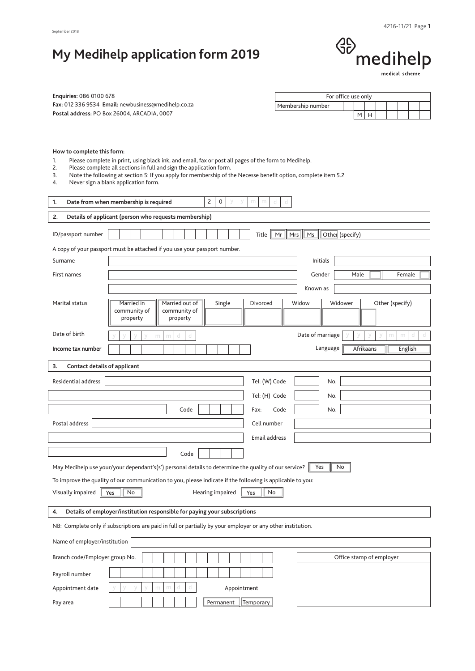# **My Medihelp application form 2019**

# $\begin{picture}(180,10) \put(0,0){\line(1,0){10}} \put(15,0){\line(1,0){10}} \put(15,0){\line(1,0){10}} \put(15,0){\line(1,0){10}} \put(15,0){\line(1,0){10}} \put(15,0){\line(1,0){10}} \put(15,0){\line(1,0){10}} \put(15,0){\line(1,0){10}} \put(15,0){\line(1,0){10}} \put(15,0){\line(1,0){10}} \put(15,0){\line(1,0){10}} \put(15,0){\line($

| <b>Enquiries: 086 0100 678</b> |                                                     |
|--------------------------------|-----------------------------------------------------|
|                                | Fax: 012 336 9534 Email: newbusiness@medihelp.co.za |
|                                | Postal address: PO Box 26004. ARCADIA. 0007         |

| For office use only |  |  |  |  |
|---------------------|--|--|--|--|
| Membership number   |  |  |  |  |
|                     |  |  |  |  |

#### **How to complete this form:**

1. Please complete in print, using black ink, and email, fax or post all pages of the form to Medihelp.<br>2. Please complete all sections in full and sign the application form.

Please complete all sections in full and sign the application form.

3. Note the following at section 5: If you apply for membership of the Necesse benefit option, complete item 5.2

4. Never sign a blank application form.

| 1.                                 | $\overline{c}$<br>Date from when membership is required<br>$\mathbf 0$<br>m<br>d<br>d                                                             |
|------------------------------------|---------------------------------------------------------------------------------------------------------------------------------------------------|
| 2.                                 | Details of applicant (person who requests membership)                                                                                             |
| ID/passport number                 | Ms<br>Other (specify)<br>Title<br>Mr<br>Mrs                                                                                                       |
|                                    | A copy of your passport must be attached if you use your passport number.                                                                         |
| Surname                            | Initials                                                                                                                                          |
| First names                        | Gender<br>Male<br>Female                                                                                                                          |
|                                    | Known as                                                                                                                                          |
| Marital status                     | Widower<br>Other (specify)<br>Married in<br>Married out of<br>Single<br>Divorced<br>Widow<br>community of<br>community of<br>property<br>property |
| Date of birth                      | Date of marriage<br>m<br>d<br>d                                                                                                                   |
| Income tax number                  | Language<br>Afrikaans<br>English                                                                                                                  |
| 3.<br>Contact details of applicant |                                                                                                                                                   |
| Residential address                | Tel: (W) Code<br>No.                                                                                                                              |
|                                    | Tel: (H) Code<br>No.                                                                                                                              |
|                                    | Code<br>No.<br>Fax:<br>Code                                                                                                                       |
| Postal address                     | Cell number                                                                                                                                       |
|                                    | <b>Email address</b>                                                                                                                              |
|                                    | Code                                                                                                                                              |
|                                    | Yes<br>May Medihelp use your/your dependant's(s') personal details to determine the quality of our service?<br>No                                 |
|                                    | To improve the quality of our communication to you, please indicate if the following is applicable to you:                                        |
| Visually impaired                  | Yes<br>Hearing impaired<br>Yes<br>No<br>No                                                                                                        |
| 4.                                 | Details of employer/institution responsible for paying your subscriptions                                                                         |
|                                    | NB: Complete only if subscriptions are paid in full or partially by your employer or any other institution.                                       |
| Name of employer/institution       |                                                                                                                                                   |
| Branch code/Employer group No.     | Office stamp of employer                                                                                                                          |
| Payroll number                     |                                                                                                                                                   |
| Appointment date                   | Appointment                                                                                                                                       |
| Pay area                           | Temporary<br>Permanent                                                                                                                            |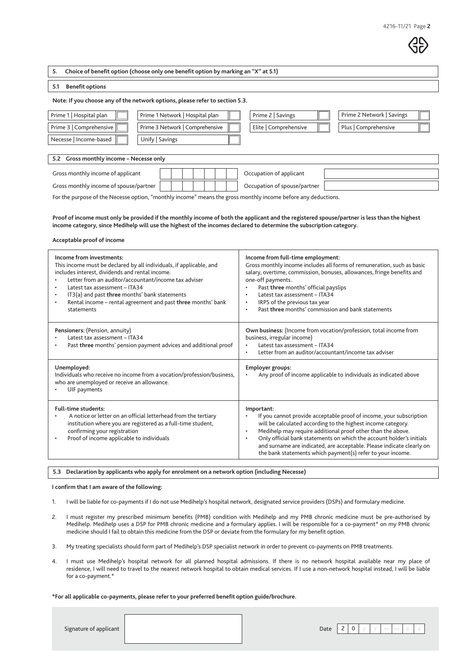**5. Choice of benefit option (choose only one benefit option by marking an "X" at 5.1)**

#### **5.1 Benefit options**

#### **Note: If you choose any of the network options, please refer to section 5.3.**

| Prime 1   Hospital plan | Prime 1 Network   Hospital plan | Prime 2   Savings     | Prime 2 Network   Savings |  |
|-------------------------|---------------------------------|-----------------------|---------------------------|--|
| Prime 3   Comprehensive | Prime 3 Network   Comprehensive | Elite   Comprehensive | Plus   Comprehensive      |  |
| Necesse   Income-based  | Unify   Savings                 |                       |                           |  |
|                         |                                 |                       |                           |  |

#### **5.2 Gross monthly income – Necesse only**

| Gross monthly income of applicant      |  |  |  | Occupation of applicant      |
|----------------------------------------|--|--|--|------------------------------|
| Gross monthly income of spouse/partner |  |  |  | Occupation of spouse/partner |

For the purpose of the Necesse option, "monthly income" means the gross monthly income before any deductions.

**Proof of income must only be provided if the monthly income of both the applicant and the registered spouse/partner is less than the highest income category, since Medihelp will use the highest of the incomes declared to determine the subscription category.**

#### **Acceptable proof of income**

| Income from investments:<br>This income must be declared by all individuals, if applicable, and<br>includes interest, dividends and rental income.<br>Letter from an auditor/accountant/income tax adviser<br>Latest tax assessment - ITA34<br>٠<br>IT3(a) and past three months' bank statements<br>٠<br>Rental income - rental agreement and past three months' bank<br>statements | Income from full-time employment:<br>Gross monthly income includes all forms of remuneration, such as basic<br>salary, overtime, commission, bonuses, allowances, fringe benefits and<br>one-off payments.<br>Past three months' official payslips<br>Latest tax assessment - ITA34<br>$\bullet$<br>IRP5 of the previous tax year<br>٠<br>Past three months' commission and bank statements<br>$\bullet$                                          |
|--------------------------------------------------------------------------------------------------------------------------------------------------------------------------------------------------------------------------------------------------------------------------------------------------------------------------------------------------------------------------------------|---------------------------------------------------------------------------------------------------------------------------------------------------------------------------------------------------------------------------------------------------------------------------------------------------------------------------------------------------------------------------------------------------------------------------------------------------|
| Pensioners: (Pension, annuity)<br>Latest tax assessment - ITA34<br>Past three months' pension payment advices and additional proof<br>٠                                                                                                                                                                                                                                              | Own business: (Income from vocation/profession, total income from<br>business, irregular income)<br>Latest tax assessment - ITA34<br>Letter from an auditor/accountant/income tax adviser                                                                                                                                                                                                                                                         |
| Unemployed:<br>Individuals who receive no income from a vocation/profession/business,<br>who are unemployed or receive an allowance.<br>UIF payments                                                                                                                                                                                                                                 | Employer groups:<br>Any proof of income applicable to individuals as indicated above                                                                                                                                                                                                                                                                                                                                                              |
| <b>Full-time students:</b><br>A notice or letter on an official letterhead from the tertiary<br>institution where you are registered as a full-time student,<br>confirming your registration<br>Proof of income applicable to individuals                                                                                                                                            | Important:<br>If you cannot provide acceptable proof of income, your subscription<br>will be calculated according to the highest income category.<br>Medihelp may require additional proof other than the above.<br>$\bullet$<br>Only official bank statements on which the account holder's initials<br>٠<br>and surname are indicated, are acceptable. Please indicate clearly on<br>the bank statements which payment(s) refer to your income. |

## **5.3 Declaration by applicants who apply for enrolment on a network option (including Necesse)**

#### **I confirm that I am aware of the following:**

- 1. I will be liable for co-payments if I do not use Medihelp's hospital network, designated service providers (DSPs) and formulary medicine.
- 2. I must register my prescribed minimum benefits (PMB) condition with Medihelp and my PMB chronic medicine must be pre-authorised by Medihelp. Medihelp uses a DSP for PMB chronic medicine and a formulary applies. I will be responsible for a co-payment\* on my PMB chronic medicine should I fail to obtain this medicine from the DSP or deviate from the formulary for my benefit option.
- 3. My treating specialists should form part of Medihelp's DSP specialist network in order to prevent co-payments on PMB treatments.
- 4. I must use Medihelp's hospital network for all planned hospital admissions. If there is no network hospital available near my place of residence, I will need to travel to the nearest network hospital to obtain medical services. If I use a non-network hospital instead, I will be liable for a co-payment.\*

#### **\*For all applicable co-payments, please refer to your preferred benefit option guide/brochure.**

Signature of applicant  $\begin{vmatrix} 2 & 0 \\ 0 & 0 \end{vmatrix}$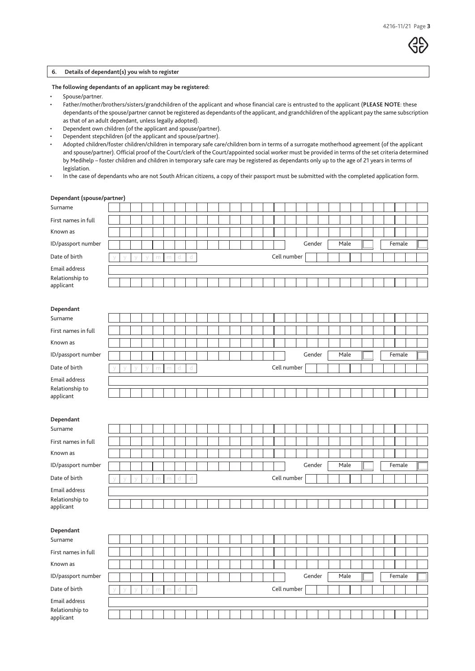#### **6. Details of dependant(s) you wish to register**

#### **The following dependants of an applicant may be registered:**

- Spouse/partner.
- Father/mother/brothers/sisters/grandchildren of the applicant and whose financial care is entrusted to the applicant (**PLEASE NOTE**: these dependants of the spouse/partner cannot be registered as dependants of the applicant, and grandchildren of the applicant pay the same subscription as that of an adult dependant, unless legally adopted).
- Dependent own children (of the applicant and spouse/partner).
- Dependent stepchildren (of the applicant and spouse/partner).
- Adopted children/foster children/children in temporary safe care/children born in terms of a surrogate motherhood agreement (of the applicant and spouse/partner). Official proof of the Court/clerk of the Court/appointed social worker must be provided in terms of the set criteria determined by Medihelp – foster children and children in temporary safe care may be registered as dependants only up to the age of 21 years in terms of legislation.
- In the case of dependants who are not South African citizens, a copy of their passport must be submitted with the completed application form.

|                              | Dependant (spouse/partner) |   |        |   |   |   |              |  |  |  |  |             |        |  |      |  |  |        |  |
|------------------------------|----------------------------|---|--------|---|---|---|--------------|--|--|--|--|-------------|--------|--|------|--|--|--------|--|
| Surname                      |                            |   |        |   |   |   |              |  |  |  |  |             |        |  |      |  |  |        |  |
| First names in full          |                            |   |        |   |   |   |              |  |  |  |  |             |        |  |      |  |  |        |  |
| Known as                     |                            |   |        |   |   |   |              |  |  |  |  |             |        |  |      |  |  |        |  |
| ID/passport number           |                            |   |        |   |   |   |              |  |  |  |  |             | Gender |  | Male |  |  | Female |  |
| Date of birth                |                            |   |        | m | m | d | d            |  |  |  |  | Cell number |        |  |      |  |  |        |  |
| Email address                |                            |   |        |   |   |   |              |  |  |  |  |             |        |  |      |  |  |        |  |
| Relationship to<br>applicant |                            |   |        |   |   |   |              |  |  |  |  |             |        |  |      |  |  |        |  |
|                              |                            |   |        |   |   |   |              |  |  |  |  |             |        |  |      |  |  |        |  |
| Dependant                    |                            |   |        |   |   |   |              |  |  |  |  |             |        |  |      |  |  |        |  |
| Surname                      |                            |   |        |   |   |   |              |  |  |  |  |             |        |  |      |  |  |        |  |
| First names in full          |                            |   |        |   |   |   |              |  |  |  |  |             |        |  |      |  |  |        |  |
| Known as                     |                            |   |        |   |   |   |              |  |  |  |  |             |        |  |      |  |  |        |  |
| ID/passport number           |                            |   |        |   |   |   |              |  |  |  |  |             | Gender |  | Male |  |  | Female |  |
| Date of birth                |                            | V | $\vee$ | m | m | d | d            |  |  |  |  | Cell number |        |  |      |  |  |        |  |
| Email address                |                            |   |        |   |   |   |              |  |  |  |  |             |        |  |      |  |  |        |  |
| Relationship to<br>applicant |                            |   |        |   |   |   |              |  |  |  |  |             |        |  |      |  |  |        |  |
|                              |                            |   |        |   |   |   |              |  |  |  |  |             |        |  |      |  |  |        |  |
| Dependant                    |                            |   |        |   |   |   |              |  |  |  |  |             |        |  |      |  |  |        |  |
|                              |                            |   |        |   |   |   |              |  |  |  |  |             |        |  |      |  |  |        |  |
| Surname                      |                            |   |        |   |   |   |              |  |  |  |  |             |        |  |      |  |  |        |  |
| First names in full          |                            |   |        |   |   |   |              |  |  |  |  |             |        |  |      |  |  |        |  |
| Known as                     |                            |   |        |   |   |   |              |  |  |  |  |             |        |  |      |  |  |        |  |
| ID/passport number           |                            |   |        |   |   |   |              |  |  |  |  |             | Gender |  | Male |  |  | Female |  |
| Date of birth                |                            | V | $\vee$ | m | m | d | $\mathbb{d}$ |  |  |  |  | Cell number |        |  |      |  |  |        |  |
| Email address                |                            |   |        |   |   |   |              |  |  |  |  |             |        |  |      |  |  |        |  |
| Relationship to              |                            |   |        |   |   |   |              |  |  |  |  |             |        |  |      |  |  |        |  |
| applicant                    |                            |   |        |   |   |   |              |  |  |  |  |             |        |  |      |  |  |        |  |
|                              |                            |   |        |   |   |   |              |  |  |  |  |             |        |  |      |  |  |        |  |
| Dependant<br>Surname         |                            |   |        |   |   |   |              |  |  |  |  |             |        |  |      |  |  |        |  |
| First names in full          |                            |   |        |   |   |   |              |  |  |  |  |             |        |  |      |  |  |        |  |
| Known as                     |                            |   |        |   |   |   |              |  |  |  |  |             |        |  |      |  |  |        |  |
| ID/passport number           |                            |   |        |   |   |   |              |  |  |  |  |             | Gender |  | Male |  |  | Female |  |
| Date of birth                |                            |   |        | m | m | d | d            |  |  |  |  | Cell number |        |  |      |  |  |        |  |
| Email address                |                            |   |        |   |   |   |              |  |  |  |  |             |        |  |      |  |  |        |  |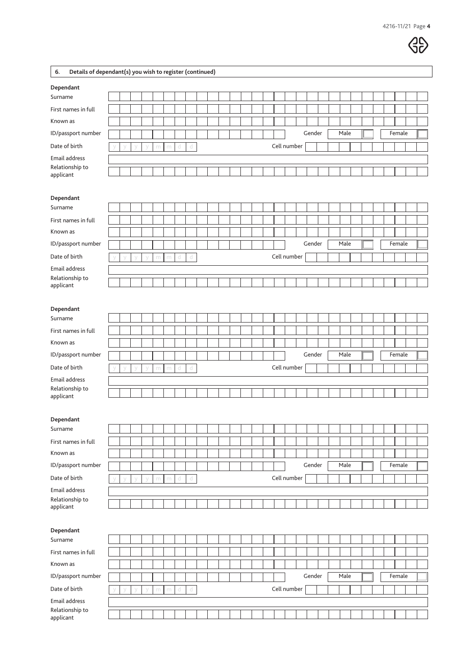

| 6.<br>Details of dependant(s) you wish to register (continued) |  |        |        |   |   |   |              |  |  |  |             |  |        |  |      |  |  |        |  |
|----------------------------------------------------------------|--|--------|--------|---|---|---|--------------|--|--|--|-------------|--|--------|--|------|--|--|--------|--|
| Dependant                                                      |  |        |        |   |   |   |              |  |  |  |             |  |        |  |      |  |  |        |  |
| Surname                                                        |  |        |        |   |   |   |              |  |  |  |             |  |        |  |      |  |  |        |  |
| First names in full                                            |  |        |        |   |   |   |              |  |  |  |             |  |        |  |      |  |  |        |  |
| Known as                                                       |  |        |        |   |   |   |              |  |  |  |             |  |        |  |      |  |  |        |  |
| ID/passport number                                             |  |        |        |   |   |   |              |  |  |  |             |  | Gender |  | Male |  |  | Female |  |
| Date of birth                                                  |  | $\vee$ | $\vee$ | m | m | d | d            |  |  |  | Cell number |  |        |  |      |  |  |        |  |
| Email address                                                  |  |        |        |   |   |   |              |  |  |  |             |  |        |  |      |  |  |        |  |
| Relationship to<br>applicant                                   |  |        |        |   |   |   |              |  |  |  |             |  |        |  |      |  |  |        |  |
|                                                                |  |        |        |   |   |   |              |  |  |  |             |  |        |  |      |  |  |        |  |
| Dependant                                                      |  |        |        |   |   |   |              |  |  |  |             |  |        |  |      |  |  |        |  |
| Surname                                                        |  |        |        |   |   |   |              |  |  |  |             |  |        |  |      |  |  |        |  |
| First names in full                                            |  |        |        |   |   |   |              |  |  |  |             |  |        |  |      |  |  |        |  |
| Known as                                                       |  |        |        |   |   |   |              |  |  |  |             |  |        |  |      |  |  |        |  |
| ID/passport number                                             |  |        |        |   |   |   |              |  |  |  |             |  | Gender |  | Male |  |  | Female |  |
| Date of birth                                                  |  |        |        | m | m | d | d            |  |  |  | Cell number |  |        |  |      |  |  |        |  |
| Email address                                                  |  |        |        |   |   |   |              |  |  |  |             |  |        |  |      |  |  |        |  |
| Relationship to                                                |  |        |        |   |   |   |              |  |  |  |             |  |        |  |      |  |  |        |  |
| applicant                                                      |  |        |        |   |   |   |              |  |  |  |             |  |        |  |      |  |  |        |  |
|                                                                |  |        |        |   |   |   |              |  |  |  |             |  |        |  |      |  |  |        |  |
| Dependant<br>Surname                                           |  |        |        |   |   |   |              |  |  |  |             |  |        |  |      |  |  |        |  |
| First names in full                                            |  |        |        |   |   |   |              |  |  |  |             |  |        |  |      |  |  |        |  |
| Known as                                                       |  |        |        |   |   |   |              |  |  |  |             |  |        |  |      |  |  |        |  |
| ID/passport number                                             |  |        |        |   |   |   |              |  |  |  |             |  | Gender |  | Male |  |  | Female |  |
| Date of birth                                                  |  | $\vee$ | $\vee$ | m | m | d | $\mathbb{d}$ |  |  |  | Cell number |  |        |  |      |  |  |        |  |
| Email address                                                  |  |        |        |   |   |   |              |  |  |  |             |  |        |  |      |  |  |        |  |
| Relationship to                                                |  |        |        |   |   |   |              |  |  |  |             |  |        |  |      |  |  |        |  |
| applicant                                                      |  |        |        |   |   |   |              |  |  |  |             |  |        |  |      |  |  |        |  |
|                                                                |  |        |        |   |   |   |              |  |  |  |             |  |        |  |      |  |  |        |  |
| Dependant<br>Surname                                           |  |        |        |   |   |   |              |  |  |  |             |  |        |  |      |  |  |        |  |
| First names in full                                            |  |        |        |   |   |   |              |  |  |  |             |  |        |  |      |  |  |        |  |
| Known as                                                       |  |        |        |   |   |   |              |  |  |  |             |  |        |  |      |  |  |        |  |
|                                                                |  |        |        |   |   |   |              |  |  |  |             |  | Gender |  | Male |  |  | Female |  |
| ID/passport number                                             |  |        |        |   |   |   |              |  |  |  |             |  |        |  |      |  |  |        |  |
| Date of birth                                                  |  | У      | У      | m | m | d | d            |  |  |  | Cell number |  |        |  |      |  |  |        |  |
| Email address<br>Relationship to                               |  |        |        |   |   |   |              |  |  |  |             |  |        |  |      |  |  |        |  |
| applicant                                                      |  |        |        |   |   |   |              |  |  |  |             |  |        |  |      |  |  |        |  |
|                                                                |  |        |        |   |   |   |              |  |  |  |             |  |        |  |      |  |  |        |  |
| Dependant                                                      |  |        |        |   |   |   |              |  |  |  |             |  |        |  |      |  |  |        |  |
| Surname                                                        |  |        |        |   |   |   |              |  |  |  |             |  |        |  |      |  |  |        |  |
| First names in full                                            |  |        |        |   |   |   |              |  |  |  |             |  |        |  |      |  |  |        |  |
| Known as                                                       |  |        |        |   |   |   |              |  |  |  |             |  |        |  |      |  |  |        |  |
| ID/passport number                                             |  |        |        |   |   |   |              |  |  |  |             |  | Gender |  | Male |  |  | Female |  |
| Date of birth                                                  |  |        |        | m | m | d | d            |  |  |  | Cell number |  |        |  |      |  |  |        |  |
| Email address                                                  |  |        |        |   |   |   |              |  |  |  |             |  |        |  |      |  |  |        |  |
| Relationship to<br>applicant                                   |  |        |        |   |   |   |              |  |  |  |             |  |        |  |      |  |  |        |  |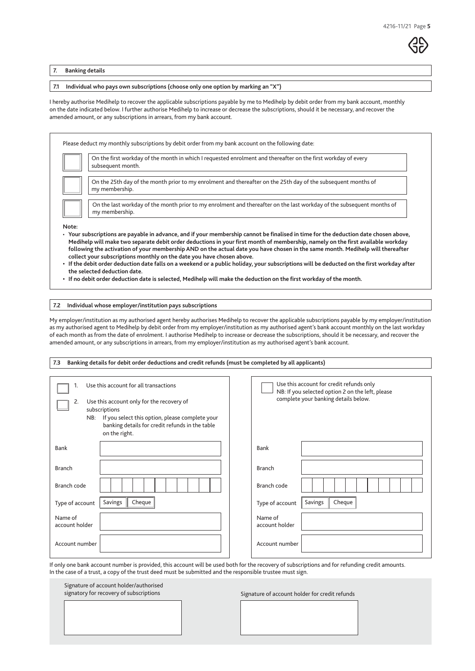**7. Banking details**

**7.1 Individual who pays own subscriptions (choose only one option by marking an "X")**

I hereby authorise Medihelp to recover the applicable subscriptions payable by me to Medihelp by debit order from my bank account, monthly on the date indicated below. I further authorise Medihelp to increase or decrease the subscriptions, should it be necessary, and recover the amended amount, or any subscriptions in arrears, from my bank account.

Please deduct my monthly subscriptions by debit order from my bank account on the following date: On the first workday of the month in which I requested enrolment and thereafter on the first workday of every subsequent month. On the 25th day of the month prior to my enrolment and thereafter on the 25th day of the subsequent months of my membership. On the last workday of the month prior to my enrolment and thereafter on the last workday of the subsequent months of my membership. **Note:**  • **Your subscriptions are payable in advance, and if your membership cannot be finalised in time for the deduction date chosen above, Medihelp will make two separate debit order deductions in your first month of membership, namely on the first available workday following the activation of your membership AND on the actual date you have chosen in the same month. Medihelp will thereafter collect your subscriptions monthly on the date you have chosen above.**

- **• If the debit order deduction date falls on a weekend or a public holiday, your subscriptions will be deducted on the first workday after the selected deduction date.**
- **• If no debit order deduction date is selected, Medihelp will make the deduction on the first workday of the month.**

**7.2 Individual whose employer/institution pays subscriptions**

My employer/institution as my authorised agent hereby authorises Medihelp to recover the applicable subscriptions payable by my employer/institution as my authorised agent to Medihelp by debit order from my employer/institution as my authorised agent's bank account monthly on the last workday of each month as from the date of enrolment. I authorise Medihelp to increase or decrease the subscriptions, should it be necessary, and recover the amended amount, or any subscriptions in arrears, from my employer/institution as my authorised agent's bank account.

Type of account | Savings | Cheque | Savings | Cheque | Savings | Cheque | Savings | Cheque | Savings | Cheque Name of account holder Name of account holder Account number and the Account number and the Account number and the Account number Branch code Branch code Branch and the state of the state of the state of the state of the state of the state of the Branch 1. Use this account for all transactions Use this account only for the recovery of subscriptions NB: If you select this option, please complete your banking details for credit refunds in the table on the right. Use this account for credit refunds only NB: If you selected option 2 on the left, please complete your banking details below. Bank Bank **7.3 Banking details for debit order deductions and credit refunds (must be completed by all applicants)**

If only one bank account number is provided, this account will be used both for the recovery of subscriptions and for refunding credit amounts. In the case of a trust, a copy of the trust deed must be submitted and the responsible trustee must sign.

| Signature of account holder/authorised<br>signatory for recovery of subscriptions | Signature of account holder for credit refunds |
|-----------------------------------------------------------------------------------|------------------------------------------------|
|                                                                                   |                                                |
|                                                                                   |                                                |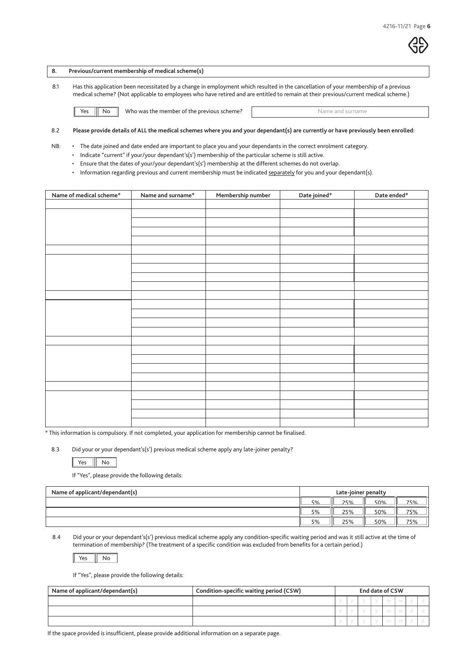#### **8. Previous/current membership of medical scheme(s)**

8.1 Has this application been necessitated by a change in employment which resulted in the cancellation of your membership of a previous medical scheme? (Not applicable to employees who have retired and are entitled to remain at their previous/current medical scheme.)

Yes **No Who was the member of the previous scheme?** Name and surname

#### 8.2 **Please provide details of ALL the medical schemes where you and your dependant(s) are currently or have previously been enrolled:**

NB: • The date joined and date ended are important to place you and your dependants in the correct enrolment category.

• Indicate "current" if your/your dependant's(s') membership of the particular scheme is still active.

- Ensure that the dates of your/your dependant's(s') membership at the different schemes do not overlap.
- Information regarding previous and current membership must be indicated separately for you and your dependant(s).

| Name of medical scheme* | Name and surname* | Membership number | Date joined* | Date ended $^\ast$ |
|-------------------------|-------------------|-------------------|--------------|--------------------|
|                         |                   |                   |              |                    |
|                         |                   |                   |              |                    |
|                         |                   |                   |              |                    |
|                         |                   |                   |              |                    |
|                         |                   |                   |              |                    |
|                         |                   |                   |              |                    |
|                         |                   |                   |              |                    |
|                         |                   |                   |              |                    |
|                         |                   |                   |              |                    |
|                         |                   |                   |              |                    |
|                         |                   |                   |              |                    |
|                         |                   |                   |              |                    |
|                         |                   |                   |              |                    |
|                         |                   |                   |              |                    |
|                         |                   |                   |              |                    |
|                         |                   |                   |              |                    |
|                         |                   |                   |              |                    |
|                         |                   |                   |              |                    |
|                         |                   |                   |              |                    |
|                         |                   |                   |              |                    |
|                         |                   |                   |              |                    |
|                         |                   |                   |              |                    |
|                         |                   |                   |              |                    |
|                         |                   |                   |              |                    |

\* This information is compulsory. If not completed, your application for membership cannot be finalised.

8.3 Did your or your dependant's(s') previous medical scheme apply any late-joiner penalty?

If "Yes", please provide the following details:

| Name of applicant/dependant(s) | Late-joiner penalty |     |     |     |
|--------------------------------|---------------------|-----|-----|-----|
|                                | 5%                  | 25% | 50% | 75% |
|                                | 5%                  | 25% | 50% | 75% |
|                                | 5%                  | 25% | 50% | 75% |

8.4 Did your or your dependant's(s') previous medical scheme apply any condition-specific waiting period and was it still active at the time of termination of membership? (The treatment of a specific condition was excluded from benefits for a certain period.)

 $Yes$  No

If "Yes", please provide the following details:

| Name of applicant/dependant(s) | Condition-specific waiting period (CSW) | <b>End date of CSW</b> |  |  |  |  |
|--------------------------------|-----------------------------------------|------------------------|--|--|--|--|
|                                |                                         |                        |  |  |  |  |
|                                |                                         |                        |  |  |  |  |
|                                |                                         |                        |  |  |  |  |

If the space provided is insufficient, please provide additional information on a separate page.

Yes  $\|$  No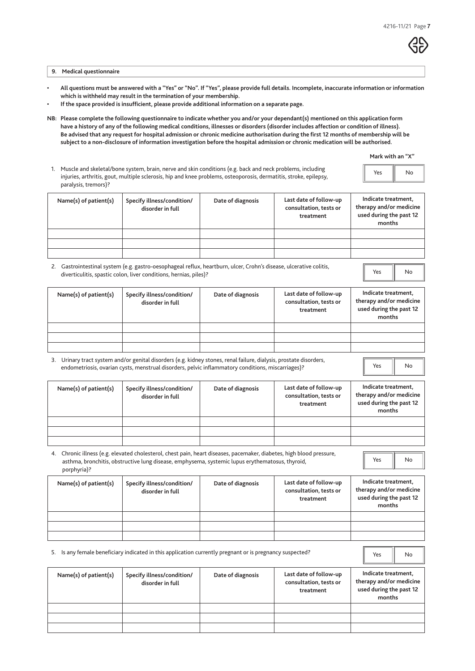**9. Medical questionnaire**

- **All questions must be answered with a "Yes" or "No". If "Yes", please provide full details. Incomplete, inaccurate information or information which is withheld may result in the termination of your membership.**
- **If the space provided is insufficient, please provide additional information on a separate page.**
- **NB: Please complete the following questionnaire to indicate whether you and/or your dependant(s) mentioned on this application form have a history of any of the following medical conditions, illnesses or disorders (disorder includes affection or condition of illness). Be advised that any request for hospital admission or chronic medicine authorisation during the first 12 months of membership will be subject to a non-disclosure of information investigation before the hospital admission or chronic medication will be authorised.**

|  | Mark with an "X" |  |  |  |
|--|------------------|--|--|--|
|--|------------------|--|--|--|

Yes **No** 

Yes  $\|$  No

N<sub>o</sub>

Yes | No

| Muscle and skeletal/bone system, brain, nerve and skin conditions (e.g. back and neck problems, including<br>injuries, arthritis, gout, multiple sclerosis, hip and knee problems, osteoporosis, dermatitis, stroke, epilepsy, | Yes | No |
|--------------------------------------------------------------------------------------------------------------------------------------------------------------------------------------------------------------------------------|-----|----|
| paralysis, tremors)?                                                                                                                                                                                                           |     |    |

| Name(s) of patient(s) | Specify illness/condition/<br>disorder in full | Date of diagnosis | Last date of follow-up<br>consultation, tests or<br>treatment | Indicate treatment,<br>therapy and/or medicine<br>used during the past 12<br>months |
|-----------------------|------------------------------------------------|-------------------|---------------------------------------------------------------|-------------------------------------------------------------------------------------|
|                       |                                                |                   |                                                               |                                                                                     |
|                       |                                                |                   |                                                               |                                                                                     |
|                       |                                                |                   |                                                               |                                                                                     |

 2. Gastrointestinal system (e.g. gastro-oesophageal reflux, heartburn, ulcer, Crohn's disease, ulcerative colitis, diverticulitis, spastic colon, liver conditions, hernias, piles)?

| Name(s) of patient(s) | Specify illness/condition/<br>disorder in full | Date of diagnosis | Last date of follow-up<br>consultation, tests or<br>treatment | Indicate treatment,<br>therapy and/or medicine<br>used during the past 12<br>months |
|-----------------------|------------------------------------------------|-------------------|---------------------------------------------------------------|-------------------------------------------------------------------------------------|
|                       |                                                |                   |                                                               |                                                                                     |
|                       |                                                |                   |                                                               |                                                                                     |
|                       |                                                |                   |                                                               |                                                                                     |

 3. Urinary tract system and/or genital disorders (e.g. kidney stones, renal failure, dialysis, prostate disorders, endometriosis, ovarian cysts, menstrual disorders, pelvic inflammatory conditions, miscarriages)?

| Name(s) of patient(s) | Specify illness/condition/<br>disorder in full | Date of diagnosis | Last date of follow-up<br>consultation, tests or<br>treatment | Indicate treatment,<br>therapy and/or medicine<br>used during the past 12<br>months |
|-----------------------|------------------------------------------------|-------------------|---------------------------------------------------------------|-------------------------------------------------------------------------------------|
|                       |                                                |                   |                                                               |                                                                                     |
|                       |                                                |                   |                                                               |                                                                                     |
|                       |                                                |                   |                                                               |                                                                                     |
|                       |                                                |                   |                                                               |                                                                                     |

|                                                                                                                                                                                                                                        | $\mathbf{r}$ and $\mathbf{r}$ and $\mathbf{r}$ and $\mathbf{r}$ and $\mathbf{r}$ and $\mathbf{r}$ and $\mathbf{r}$ and $\mathbf{r}$ | $\mathbf{r} = \mathbf{r} + \mathbf{r}$ and $\mathbf{r} = \mathbf{r} + \mathbf{r}$ |  | وبرسوالمهوم ودواجعه | Indicate treat |  |
|----------------------------------------------------------------------------------------------------------------------------------------------------------------------------------------------------------------------------------------|-------------------------------------------------------------------------------------------------------------------------------------|-----------------------------------------------------------------------------------|--|---------------------|----------------|--|
| 4. Chronic illness (e.g. elevated cholesterol, chest pain, heart diseases, pacemaker, diabetes, high blood pressure,<br>asthma, bronchitis, obstructive lung disease, emphysema, systemic lupus erythematosus, thyroid,<br>porphyria)? |                                                                                                                                     |                                                                                   |  |                     | Yes            |  |
|                                                                                                                                                                                                                                        |                                                                                                                                     |                                                                                   |  |                     |                |  |

| Name(s) of patient(s) | Specify illness/condition/<br>disorder in full | Date of diagnosis | Last date of follow-up<br>consultation, tests or<br>treatment | Indicate treatment,<br>therapy and/or medicine<br>used during the past 12<br>months |
|-----------------------|------------------------------------------------|-------------------|---------------------------------------------------------------|-------------------------------------------------------------------------------------|
|                       |                                                |                   |                                                               |                                                                                     |
|                       |                                                |                   |                                                               |                                                                                     |
|                       |                                                |                   |                                                               |                                                                                     |

5. Is any female beneficiary indicated in this application currently pregnant or is pregnancy suspected?

| Name(s) of patient(s) | Specify illness/condition/<br>disorder in full | Date of diagnosis | Last date of follow-up<br>consultation, tests or<br>treatment | Indicate treatment,<br>therapy and/or medicine<br>used during the past 12<br>months |
|-----------------------|------------------------------------------------|-------------------|---------------------------------------------------------------|-------------------------------------------------------------------------------------|
|                       |                                                |                   |                                                               |                                                                                     |
|                       |                                                |                   |                                                               |                                                                                     |
|                       |                                                |                   |                                                               |                                                                                     |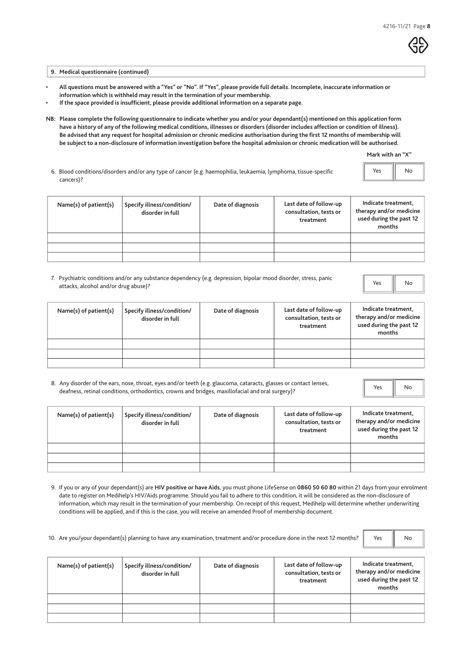

**9. Medical questionnaire (continued)**

- **All questions must be answered with a "Yes" or "No". If "Yes", please provide full details. Incomplete, inaccurate information or information which is withheld may result in the termination of your membership.**
- **If the space provided is insufficient, please provide additional information on a separate page.**
- **NB: Please complete the following questionnaire to indicate whether you and/or your dependant(s) mentioned on this application form have a history of any of the following medical conditions, illnesses or disorders (disorder includes affection or condition of illness). Be advised that any request for hospital admission or chronic medicine authorisation during the first 12 months of membership will be subject to a non-disclosure of information investigation before the hospital admission or chronic medication will be authorised.**

**Mark with an "X"**

| 6. Blood conditions/disorders and/or any type of cancer (e.g. haemophilia, leukaemia, lymphoma, tissue-specific<br>cancers)? | Yes<br>H. | No |
|------------------------------------------------------------------------------------------------------------------------------|-----------|----|
|                                                                                                                              |           |    |

| $Name(s)$ of patient $(s)$ | Specify illness/condition/<br>disorder in full | Date of diagnosis | Last date of follow-up<br>consultation, tests or<br>treatment | Indicate treatment,<br>therapy and/or medicine<br>used during the past 12<br>months |
|----------------------------|------------------------------------------------|-------------------|---------------------------------------------------------------|-------------------------------------------------------------------------------------|
|                            |                                                |                   |                                                               |                                                                                     |
|                            |                                                |                   |                                                               |                                                                                     |
|                            |                                                |                   |                                                               |                                                                                     |

 7. Psychiatric conditions and/or any substance dependency (e.g. depression, bipolar mood disorder, stress, panic attacks, alcohol and/or drug abuse)?

Yes II No

| Name(s) of patient(s) | Specify illness/condition/<br>disorder in full | Date of diagnosis | Last date of follow-up<br>consultation, tests or<br>treatment | Indicate treatment,<br>therapy and/or medicine<br>used during the past 12<br>months |
|-----------------------|------------------------------------------------|-------------------|---------------------------------------------------------------|-------------------------------------------------------------------------------------|
|                       |                                                |                   |                                                               |                                                                                     |
|                       |                                                |                   |                                                               |                                                                                     |
|                       |                                                |                   |                                                               |                                                                                     |

8. Any disorder of the ears, nose, throat, eyes and/or teeth (e.g. glaucoma, cataracts, glasses or contact lenses, deafness, retinal conditions, orthodontics, crowns and bridges, maxillofacial and oral surgery)?

Yes | No

| Name(s) of patient(s) | Specify illness/condition/<br>disorder in full | Date of diagnosis | Last date of follow-up<br>consultation, tests or<br>treatment | Indicate treatment,<br>therapy and/or medicine<br>used during the past 12<br>months |
|-----------------------|------------------------------------------------|-------------------|---------------------------------------------------------------|-------------------------------------------------------------------------------------|
|                       |                                                |                   |                                                               |                                                                                     |
|                       |                                                |                   |                                                               |                                                                                     |
|                       |                                                |                   |                                                               |                                                                                     |

- 9. If you or any of your dependant(s) are **HIV positive or have Aids**, you must phone LifeSense on **0860 50 60 80** within 21 days from your enrolment date to register on Medihelp's HIV/Aids programme. Should you fail to adhere to this condition, it will be considered as the non-disclosure of information, which may result in the termination of your membership. On receipt of this request, Medihelp will determine whether underwriting conditions will be applied, and if this is the case, you will receive an amended Proof of membership document.
- 10. Are you/your dependant(s) planning to have any examination, treatment and/or procedure done in the next 12 months?

Yes **No** 

| $Name(s)$ of patient $(s)$ | Specify illness/condition/<br>disorder in full | Date of diagnosis | Last date of follow-up<br>consultation, tests or<br>treatment | Indicate treatment,<br>therapy and/or medicine<br>used during the past 12<br>months |
|----------------------------|------------------------------------------------|-------------------|---------------------------------------------------------------|-------------------------------------------------------------------------------------|
|                            |                                                |                   |                                                               |                                                                                     |
|                            |                                                |                   |                                                               |                                                                                     |
|                            |                                                |                   |                                                               |                                                                                     |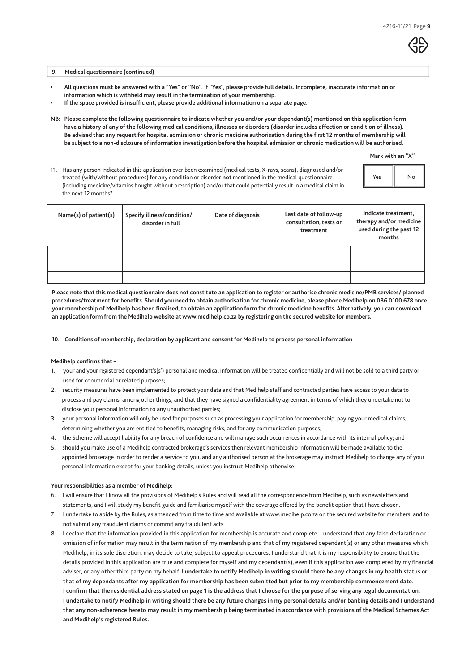#### **9. Medical questionnaire (continued)**

- **All questions must be answered with a "Yes" or "No". If "Yes", please provide full details. Incomplete, inaccurate information or information which is withheld may result in the termination of your membership.**
- **If the space provided is insufficient, please provide additional information on a separate page.**
- **NB: Please complete the following questionnaire to indicate whether you and/or your dependant(s) mentioned on this application form have a history of any of the following medical conditions, illnesses or disorders (disorder includes affection or condition of illness). Be advised that any request for hospital admission or chronic medicine authorisation during the first 12 months of membership will be subject to a non-disclosure of information investigation before the hospital admission or chronic medication will be authorised.**

**Mark with an "X"**

Yes No

 11. Has any person indicated in this application ever been examined (medical tests, X-rays, scans), diagnosed and/or treated (with/without procedures) for any condition or disorder **not** mentioned in the medical questionnaire (including medicine/vitamins bought without prescription) and/or that could potentially result in a medical claim in the next 12 months?

| the next 12 months?   |                                                |                   |                                                               |                                                                                     |
|-----------------------|------------------------------------------------|-------------------|---------------------------------------------------------------|-------------------------------------------------------------------------------------|
| Name(s) of patient(s) | Specify illness/condition/<br>disorder in full | Date of diagnosis | Last date of follow-up<br>consultation, tests or<br>treatment | Indicate treatment,<br>therapy and/or medicine<br>used during the past 12<br>months |
|                       |                                                |                   |                                                               |                                                                                     |
|                       |                                                |                   |                                                               |                                                                                     |
|                       |                                                |                   |                                                               |                                                                                     |

**Please note that this medical questionnaire does not constitute an application to register or authorise chronic medicine/PMB services/ planned procedures/treatment for benefits. Should you need to obtain authorisation for chronic medicine, please phone Medihelp on 086 0100 678 once your membership of Medihelp has been finalised, to obtain an application form for chronic medicine benefits. Alternatively, you can download an application form from the Medihelp website at www.medihelp.co.za by registering on the secured website for members.**

**10. Conditions of membership, declaration by applicant and consent for Medihelp to process personal information**

#### **Medihelp confirms that –**

- 1. your and your registered dependant's(s') personal and medical information will be treated confidentially and will not be sold to a third party or used for commercial or related purposes;
- 2. security measures have been implemented to protect your data and that Medihelp staff and contracted parties have access to your data to process and pay claims, among other things, and that they have signed a confidentiality agreement in terms of which they undertake not to disclose your personal information to any unauthorised parties;
- 3. your personal information will only be used for purposes such as processing your application for membership, paying your medical claims, determining whether you are entitled to benefits, managing risks, and for any communication purposes;
- 4. the Scheme will accept liability for any breach of confidence and will manage such occurrences in accordance with its internal policy; and
- 5. should you make use of a Medihelp contracted brokerage's services then relevant membership information will be made available to the appointed brokerage in order to render a service to you, and any authorised person at the brokerage may instruct Medihelp to change any of your personal information except for your banking details, unless you instruct Medihelp otherwise.

#### **Your responsibilities as a member of Medihelp:**

- 6. I will ensure that I know all the provisions of Medihelp's Rules and will read all the correspondence from Medihelp, such as newsletters and statements, and I will study my benefit guide and familiarise myself with the coverage offered by the benefit option that I have chosen.
- 7. I undertake to abide by the Rules, as amended from time to time and available at www.medihelp.co.za on the secured website for members, and to not submit any fraudulent claims or commit any fraudulent acts.
- 8. I declare that the information provided in this application for membership is accurate and complete. I understand that any false declaration or omission of information may result in the termination of my membership and that of my registered dependant(s) or any other measures which Medihelp, in its sole discretion, may decide to take, subject to appeal procedures. I understand that it is my responsibility to ensure that the details provided in this application are true and complete for myself and my dependant(s), even if this application was completed by my financial adviser, or any other third party on my behalf. **I undertake to notify Medihelp in writing should there be any changes in my health status or that of my dependants after my application for membership has been submitted but prior to my membership commencement date.**  I confirm that the residential address stated on page 1 is the address that I choose for the purpose of serving any legal documentation. **I undertake to notify Medihelp in writing should there be any future changes in my personal details and/or banking details and I understand that any non-adherence hereto may result in my membership being terminated in accordance with provisions of the Medical Schemes Act and Medihelp's registered Rules.**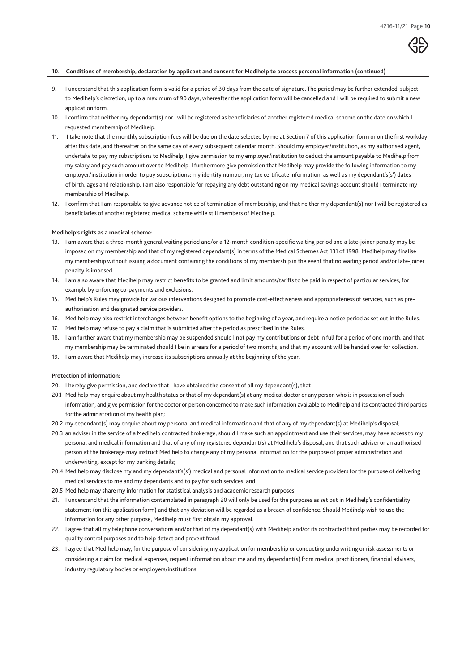#### **10. Conditions of membership, declaration by applicant and consent for Medihelp to process personal information (continued)**

- 9. I understand that this application form is valid for a period of 30 days from the date of signature. The period may be further extended, subject to Medihelp's discretion, up to a maximum of 90 days, whereafter the application form will be cancelled and I will be required to submit a new application form.
- 10. I confirm that neither my dependant(s) nor I will be registered as beneficiaries of another registered medical scheme on the date on which I requested membership of Medihelp.
- 11. I take note that the monthly subscription fees will be due on the date selected by me at Section 7 of this application form or on the first workday after this date, and thereafter on the same day of every subsequent calendar month. Should my employer/institution, as my authorised agent. undertake to pay my subscriptions to Medihelp, I give permission to my employer/institution to deduct the amount payable to Medihelp from my salary and pay such amount over to Medihelp. I furthermore give permission that Medihelp may provide the following information to my employer/institution in order to pay subscriptions: my identity number, my tax certificate information, as well as my dependant's(s') dates of birth, ages and relationship. I am also responsible for repaying any debt outstanding on my medical savings account should I terminate my membership of Medihelp.
- 12. I confirm that I am responsible to give advance notice of termination of membership, and that neither my dependant(s) nor I will be registered as beneficiaries of another registered medical scheme while still members of Medihelp.

#### **Medihelp's rights as a medical scheme:**

- 13. I am aware that a three-month general waiting period and/or a 12-month condition-specific waiting period and a late-joiner penalty may be imposed on my membership and that of my registered dependant(s) in terms of the Medical Schemes Act 131 of 1998. Medihelp may finalise my membership without issuing a document containing the conditions of my membership in the event that no waiting period and/or late-joiner penalty is imposed.
- 14. I am also aware that Medihelp may restrict benefits to be granted and limit amounts/tariffs to be paid in respect of particular services, for example by enforcing co-payments and exclusions.
- 15. Medihelp's Rules may provide for various interventions designed to promote cost-effectiveness and appropriateness of services, such as preauthorisation and designated service providers.
- 16. Medihelp may also restrict interchanges between benefit options to the beginning of a year, and require a notice period as set out in the Rules.
- 17. Medihelp may refuse to pay a claim that is submitted after the period as prescribed in the Rules.
- 18. I am further aware that my membership may be suspended should I not pay my contributions or debt in full for a period of one month, and that my membership may be terminated should I be in arrears for a period of two months, and that my account will be handed over for collection.
- 19. I am aware that Medihelp may increase its subscriptions annually at the beginning of the year.

#### **Protection of information:**

- 20. I hereby give permission, and declare that I have obtained the consent of all my dependant(s), that -
- 20.1 Medihelp may enquire about my health status or that of my dependant(s) at any medical doctor or any person who is in possession of such information, and give permission for the doctor or person concerned to make such information available to Medihelp and its contracted third parties for the administration of my health plan;
- 20.2 my dependant(s) may enquire about my personal and medical information and that of any of my dependant(s) at Medihelp's disposal;
- 20.3 an adviser in the service of a Medihelp contracted brokerage, should I make such an appointment and use their services, may have access to my personal and medical information and that of any of my registered dependant(s) at Medihelp's disposal, and that such adviser or an authorised person at the brokerage may instruct Medihelp to change any of my personal information for the purpose of proper administration and underwriting, except for my banking details;
- 20.4 Medihelp may disclose my and my dependant's(s') medical and personal information to medical service providers for the purpose of delivering medical services to me and my dependants and to pay for such services; and
- 20.5 Medihelp may share my information for statistical analysis and academic research purposes.
- 21. I understand that the information contemplated in paragraph 20 will only be used for the purposes as set out in Medihelp's confidentiality statement (on this application form) and that any deviation will be regarded as a breach of confidence. Should Medihelp wish to use the information for any other purpose, Medihelp must first obtain my approval.
- 22. I agree that all my telephone conversations and/or that of my dependant(s) with Medihelp and/or its contracted third parties may be recorded for quality control purposes and to help detect and prevent fraud.
- 23. I agree that Medihelp may, for the purpose of considering my application for membership or conducting underwriting or risk assessments or considering a claim for medical expenses, request information about me and my dependant(s) from medical practitioners, financial advisers, industry regulatory bodies or employers/institutions.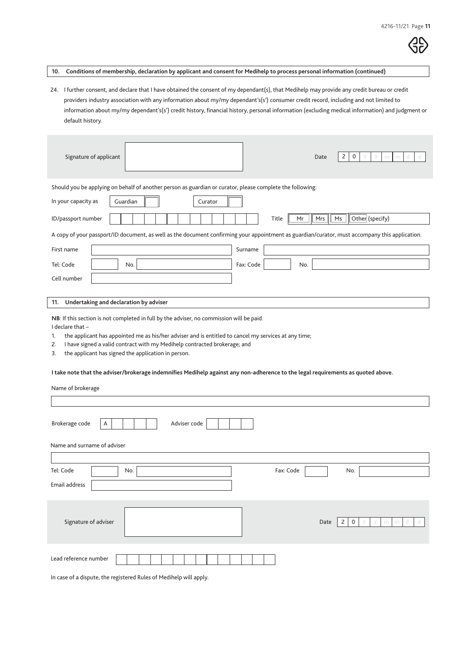|--|

**10. Conditions of membership, declaration by applicant and consent for Medihelp to process personal information (continued)**

24. I further consent, and declare that I have obtained the consent of my dependant(s), that Medihelp may provide any credit bureau or credit providers industry association with any information about my/my dependant's(s') consumer credit record, including and not limited to information about my/my dependant's(s') credit history, financial history, personal information (excluding medical information) and judgment or default history.

| Signature of applicant<br>2<br>Date<br>0<br>m<br>m                                                                                                                                                                                                                                                                                                                                                                                                                                                                                  |
|-------------------------------------------------------------------------------------------------------------------------------------------------------------------------------------------------------------------------------------------------------------------------------------------------------------------------------------------------------------------------------------------------------------------------------------------------------------------------------------------------------------------------------------|
| Should you be applying on behalf of another person as guardian or curator, please complete the following:                                                                                                                                                                                                                                                                                                                                                                                                                           |
| In your capacity as<br>Guardian<br>Curator                                                                                                                                                                                                                                                                                                                                                                                                                                                                                          |
| Other (specify)<br>ID/passport number<br>Mrs<br>Ms<br>Title<br>Mr                                                                                                                                                                                                                                                                                                                                                                                                                                                                   |
| A copy of your passport/ID document, as well as the document confirming your appointment as guardian/curator, must accompany this application.                                                                                                                                                                                                                                                                                                                                                                                      |
| First name<br>Surname                                                                                                                                                                                                                                                                                                                                                                                                                                                                                                               |
| Tel: Code<br>Fax: Code<br>No.<br>No.                                                                                                                                                                                                                                                                                                                                                                                                                                                                                                |
| Cell number                                                                                                                                                                                                                                                                                                                                                                                                                                                                                                                         |
|                                                                                                                                                                                                                                                                                                                                                                                                                                                                                                                                     |
| Undertaking and declaration by adviser<br>11.                                                                                                                                                                                                                                                                                                                                                                                                                                                                                       |
| NB: If this section is not completed in full by the adviser, no commission will be paid.<br>I declare that -<br>the applicant has appointed me as his/her adviser and is entitled to cancel my services at any time;<br>1.<br>I have signed a valid contract with my Medihelp contracted brokerage; and<br>2.<br>the applicant has signed the application in person.<br>3.<br>I take note that the adviser/brokerage indemnifies Medihelp against any non-adherence to the legal requirements as quoted above.<br>Name of brokerage |
|                                                                                                                                                                                                                                                                                                                                                                                                                                                                                                                                     |
| Brokerage code<br>Adviser code<br>Α                                                                                                                                                                                                                                                                                                                                                                                                                                                                                                 |
| Name and surname of adviser                                                                                                                                                                                                                                                                                                                                                                                                                                                                                                         |
| Tel: Code<br>Fax: Code<br>No.<br>No.                                                                                                                                                                                                                                                                                                                                                                                                                                                                                                |
| Email address                                                                                                                                                                                                                                                                                                                                                                                                                                                                                                                       |
| Signature of adviser<br>Date<br>2<br>0<br>m<br>m                                                                                                                                                                                                                                                                                                                                                                                                                                                                                    |
| Lead reference number                                                                                                                                                                                                                                                                                                                                                                                                                                                                                                               |

In case of a dispute, the registered Rules of Medihelp will apply.